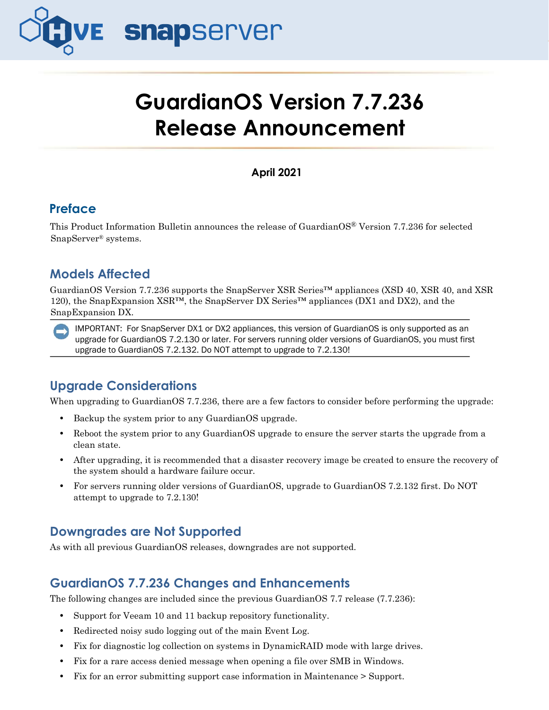

# **GuardianOS Version 7.7.236 Release Announcement**

**April 2021**

# **Preface**

This Product Information Bulletin announces the release of GuardianOS® Version 7.7.236 for selected SnapServer® systems.

# **Models Affected**

GuardianOS Version 7.7.236 supports the SnapServer XSR Series™ appliances (XSD 40, XSR 40, and XSR 120), the SnapExpansion XSR<sup>™</sup>, the SnapServer DX Series<sup>™</sup> appliances (DX1 and DX2), and the SnapExpansion DX.

IMPORTANT: For SnapServer DX1 or DX2 appliances, this version of GuardianOS is only supported as an upgrade for GuardianOS 7.2.130 or later. For servers running older versions of GuardianOS, you must first upgrade to GuardianOS 7.2.132. Do NOT attempt to upgrade to 7.2.130!

# **Upgrade Considerations**

When upgrading to GuardianOS 7.7.236, there are a few factors to consider before performing the upgrade:

- **•** Backup the system prior to any GuardianOS upgrade.
- **•** Reboot the system prior to any GuardianOS upgrade to ensure the server starts the upgrade from a clean state.
- After upgrading, it is recommended that a disaster recovery image be created to ensure the recovery of the system should a hardware failure occur.
- **•** For servers running older versions of GuardianOS, upgrade to GuardianOS 7.2.132 first. Do NOT attempt to upgrade to 7.2.130!

# **Downgrades are Not Supported**

As with all previous GuardianOS releases, downgrades are not supported.

## **GuardianOS 7.7.236 Changes and Enhancements**

The following changes are included since the previous GuardianOS 7.7 release (7.7.236):

- **•** Support for Veeam 10 and 11 backup repository functionality.
- **•** Redirected noisy sudo logging out of the main Event Log.
- **•** Fix for diagnostic log collection on systems in DynamicRAID mode with large drives.
- **•** Fix for a rare access denied message when opening a file over SMB in Windows.
- **•** Fix for an error submitting support case information in Maintenance > Support.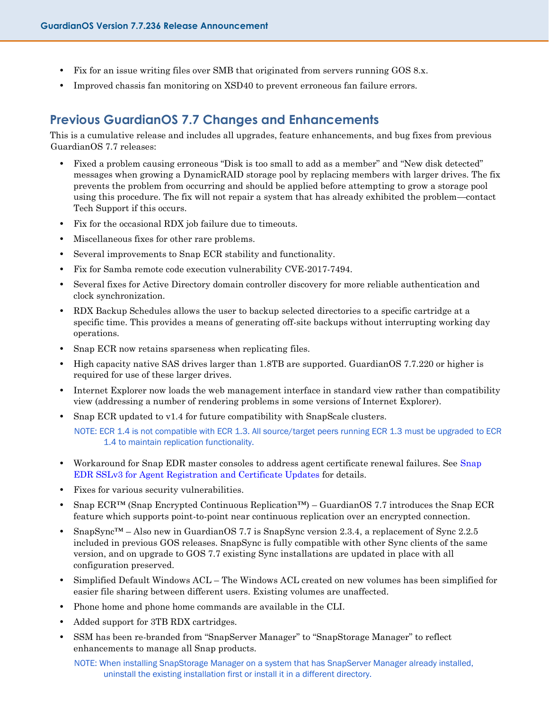- **•** Fix for an issue writing files over SMB that originated from servers running GOS 8.x.
- **•** Improved chassis fan monitoring on XSD40 to prevent erroneous fan failure errors.

### **Previous GuardianOS 7.7 Changes and Enhancements**

This is a cumulative release and includes all upgrades, feature enhancements, and bug fixes from previous GuardianOS 7.7 releases:

- **•** Fixed a problem causing erroneous "Disk is too small to add as a member" and "New disk detected" messages when growing a DynamicRAID storage pool by replacing members with larger drives. The fix prevents the problem from occurring and should be applied before attempting to grow a storage pool using this procedure. The fix will not repair a system that has already exhibited the problem—contact Tech Support if this occurs.
- **•** Fix for the occasional RDX job failure due to timeouts.
- **•** Miscellaneous fixes for other rare problems.
- **•** Several improvements to Snap ECR stability and functionality.
- Fix for Samba remote code execution vulnerability CVE-2017-7494.
- **•** Several fixes for Active Directory domain controller discovery for more reliable authentication and clock synchronization.
- **•** RDX Backup Schedules allows the user to backup selected directories to a specific cartridge at a specific time. This provides a means of generating off-site backups without interrupting working day operations.
- Snap ECR now retains sparseness when replicating files.
- High capacity native SAS drives larger than 1.8TB are supported. GuardianOS 7.7.220 or higher is required for use of these larger drives.
- **•** Internet Explorer now loads the web management interface in standard view rather than compatibility view (addressing a number of rendering problems in some versions of Internet Explorer).
- Snap ECR updated to v1.4 for future compatibility with SnapScale clusters.

NOTE: ECR 1.4 is not compatible with ECR 1.3. All source/target peers running ECR 1.3 must be upgraded to ECR 1.4 to maintain replication functionality.

- Workaround for Snap EDR master consoles to address agent certificate renewal failures. See Snap EDR SSLv3 for Agent Registration and Certificate Updates for details.
- **•** Fixes for various security vulnerabilities.
- **•** Snap ECR™ (Snap Encrypted Continuous Replication™) GuardianOS 7.7 introduces the Snap ECR feature which supports point-to-point near continuous replication over an encrypted connection.
- **•** SnapSync™ Also new in GuardianOS 7.7 is SnapSync version 2.3.4, a replacement of Sync 2.2.5 included in previous GOS releases. SnapSync is fully compatible with other Sync clients of the same version, and on upgrade to GOS 7.7 existing Sync installations are updated in place with all configuration preserved.
- **•** Simplified Default Windows ACL The Windows ACL created on new volumes has been simplified for easier file sharing between different users. Existing volumes are unaffected.
- **•** Phone home and phone home commands are available in the CLI.
- **•** Added support for 3TB RDX cartridges.
- **•** SSM has been re-branded from "SnapServer Manager" to "SnapStorage Manager" to reflect enhancements to manage all Snap products.

NOTE: When installing SnapStorage Manager on a system that has SnapServer Manager already installed, uninstall the existing installation first or install it in a different directory.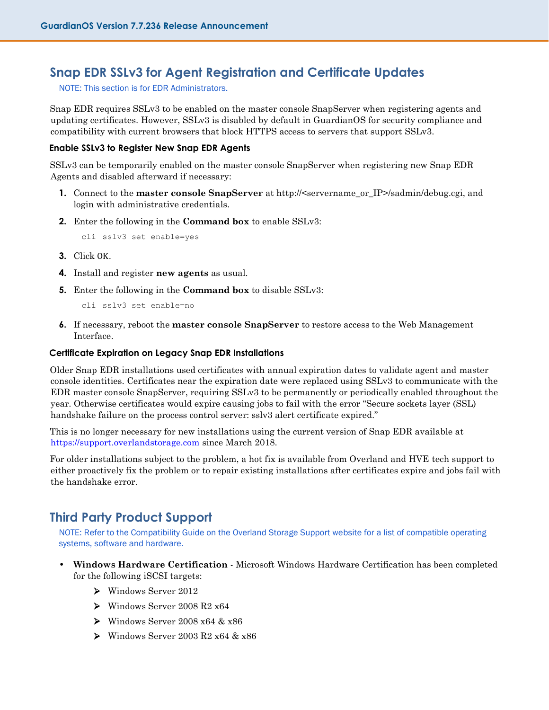### **Snap EDR SSLv3 for Agent Registration and Certificate Updates**

NOTE: This section is for EDR Administrators.

Snap EDR requires SSLv3 to be enabled on the master console SnapServer when registering agents and updating certificates. However, SSLv3 is disabled by default in GuardianOS for security compliance and compatibility with current browsers that block HTTPS access to servers that support SSLv3.

#### **Enable SSLv3 to Register New Snap EDR Agents**

SSLv3 can be temporarily enabled on the master console SnapServer when registering new Snap EDR Agents and disabled afterward if necessary:

- **1.** Connect to the **master console SnapServer** at http://servername\_or\_IP>/sadmin/debug.cgi, and login with administrative credentials.
- **2.** Enter the following in the **Command box** to enable SSLv3:

```
cli sslv3 set enable=yes
```
- **3.** Click OK.
- **4.** Install and register **new agents** as usual.
- **5.** Enter the following in the **Command box** to disable SSLv3:

cli sslv3 set enable=no

**6.** If necessary, reboot the **master console SnapServer** to restore access to the Web Management Interface.

#### **Certificate Expiration on Legacy Snap EDR Installations**

Older Snap EDR installations used certificates with annual expiration dates to validate agent and master console identities. Certificates near the expiration date were replaced using SSLv3 to communicate with the EDR master console SnapServer, requiring SSLv3 to be permanently or periodically enabled throughout the year. Otherwise certificates would expire causing jobs to fail with the error "Secure sockets layer (SSL) handshake failure on the process control server: sslv3 alert certificate expired."

This is no longer necessary for new installations using the current version of Snap EDR available at [https://support.overlandstorage.com](https://support.overlandstorage.com/) since March 2018.

For older installations subject to the problem, a hot fix is available from Overland and HVE tech support to either proactively fix the problem or to repair existing installations after certificates expire and jobs fail with the handshake error.

## **Third Party Product Support**

NOTE: Refer to the Compatibility Guide on the Overland Storage Support website for a list of compatible operating systems, software and hardware.

- **• Windows Hardware Certification** Microsoft Windows Hardware Certification has been completed for the following iSCSI targets:
	- ➢ Windows Server 2012
	- ➢ Windows Server 2008 R2 x64
	- ➢ Windows Server 2008 x64 & x86
	- ➢ Windows Server 2003 R2 x64 & x86